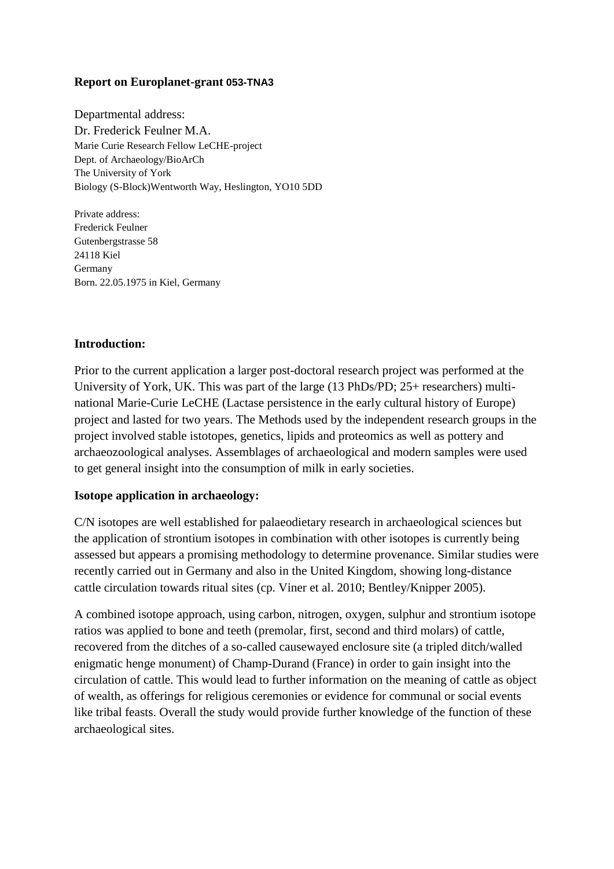# **Report on Europlanet-grant 053-TNA3**

Departmental address: Dr. Frederick Feulner M.A. Marie Curie Research Fellow LeCHE-project Dept. of Archaeology/BioArCh The University of York Biology (S-Block)Wentworth Way, Heslington, YO10 5DD

Private address: Frederick Feulner Gutenbergstrasse 58 24118 Kiel Germany Born. 22.05.1975 in Kiel, Germany

### **Introduction:**

Prior to the current application a larger post-doctoral research project was performed at the University of York, UK. This was part of the large (13 PhDs/PD; 25+ researchers) multinational Marie-Curie LeCHE (Lactase persistence in the early cultural history of Europe) project and lasted for two years. The Methods used by the independent research groups in the project involved stable istotopes, genetics, lipids and proteomics as well as pottery and archaeozoological analyses. Assemblages of archaeological and modern samples were used to get general insight into the consumption of milk in early societies.

### **Isotope application in archaeology:**

C/N isotopes are well established for palaeodietary research in archaeological sciences but the application of strontium isotopes in combination with other isotopes is currently being assessed but appears a promising methodology to determine provenance. Similar studies were recently carried out in Germany and also in the United Kingdom, showing long-distance cattle circulation towards ritual sites (cp. Viner et al. 2010; Bentley/Knipper 2005).

A combined isotope approach, using carbon, nitrogen, oxygen, sulphur and strontium isotope ratios was applied to bone and teeth (premolar, first, second and third molars) of cattle, recovered from the ditches of a so-called causewayed enclosure site (a tripled ditch/walled enigmatic henge monument) of Champ-Durand (France) in order to gain insight into the circulation of cattle. This would lead to further information on the meaning of cattle as object of wealth, as offerings for religious ceremonies or evidence for communal or social events like tribal feasts. Overall the study would provide further knowledge of the function of these archaeological sites.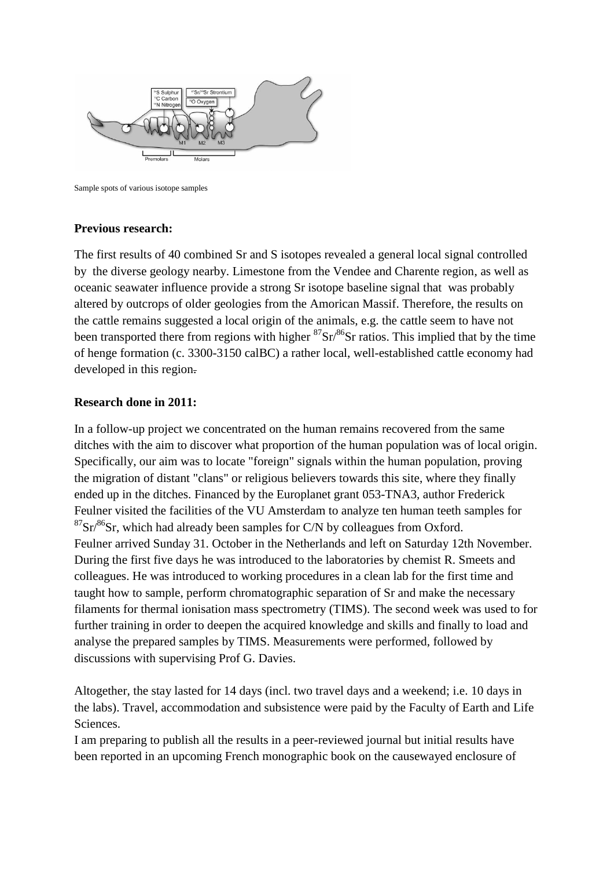

Sample spots of various isotope samples

## **Previous research:**

The first results of 40 combined Sr and S isotopes revealed a general local signal controlled by the diverse geology nearby. Limestone from the Vendee and Charente region, as well as oceanic seawater influence provide a strong Sr isotope baseline signal that was probably altered by outcrops of older geologies from the Amorican Massif. Therefore, the results on the cattle remains suggested a local origin of the animals, e.g. the cattle seem to have not been transported there from regions with higher  ${}^{87}Sr/{}^{86}Sr$  ratios. This implied that by the time of henge formation (c. 3300-3150 calBC) a rather local, well-established cattle economy had developed in this region.

# **Research done in 2011:**

In a follow-up project we concentrated on the human remains recovered from the same ditches with the aim to discover what proportion of the human population was of local origin. Specifically, our aim was to locate "foreign" signals within the human population, proving the migration of distant "clans" or religious believers towards this site, where they finally ended up in the ditches. Financed by the Europlanet grant 053-TNA3, author Frederick Feulner visited the facilities of the VU Amsterdam to analyze ten human teeth samples for  $87\text{Sr}/86\text{Sr}$ , which had already been samples for C/N by colleagues from Oxford. Feulner arrived Sunday 31. October in the Netherlands and left on Saturday 12th November. During the first five days he was introduced to the laboratories by chemist R. Smeets and colleagues. He was introduced to working procedures in a clean lab for the first time and taught how to sample, perform chromatographic separation of Sr and make the necessary filaments for thermal ionisation mass spectrometry (TIMS). The second week was used to for further training in order to deepen the acquired knowledge and skills and finally to load and analyse the prepared samples by TIMS. Measurements were performed, followed by discussions with supervising Prof G. Davies.

Altogether, the stay lasted for 14 days (incl. two travel days and a weekend; i.e. 10 days in the labs). Travel, accommodation and subsistence were paid by the Faculty of Earth and Life Sciences.

I am preparing to publish all the results in a peer-reviewed journal but initial results have been reported in an upcoming French monographic book on the causewayed enclosure of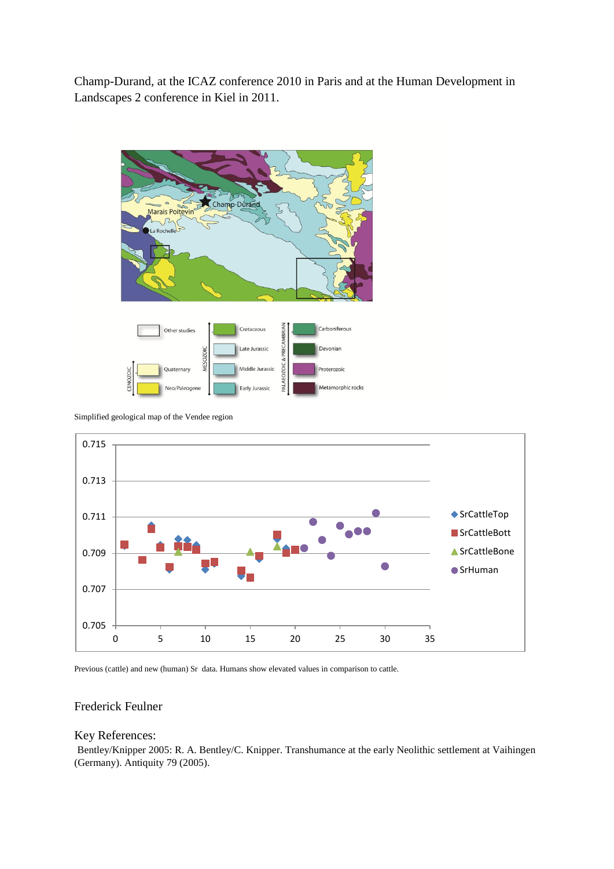Champ-Durand, at the ICAZ conference 2010 in Paris and at the Human Development in Landscapes 2 conference in Kiel in 2011.



Simplified geological map of the Vendee region



Previous (cattle) and new (human) Sr data. Humans show elevated values in comparison to cattle.

#### Frederick Feulner

#### Key References:

Bentley/Knipper 2005: R. A. Bentley/C. Knipper. Transhumance at the early Neolithic settlement at Vaihingen (Germany). Antiquity 79 (2005).